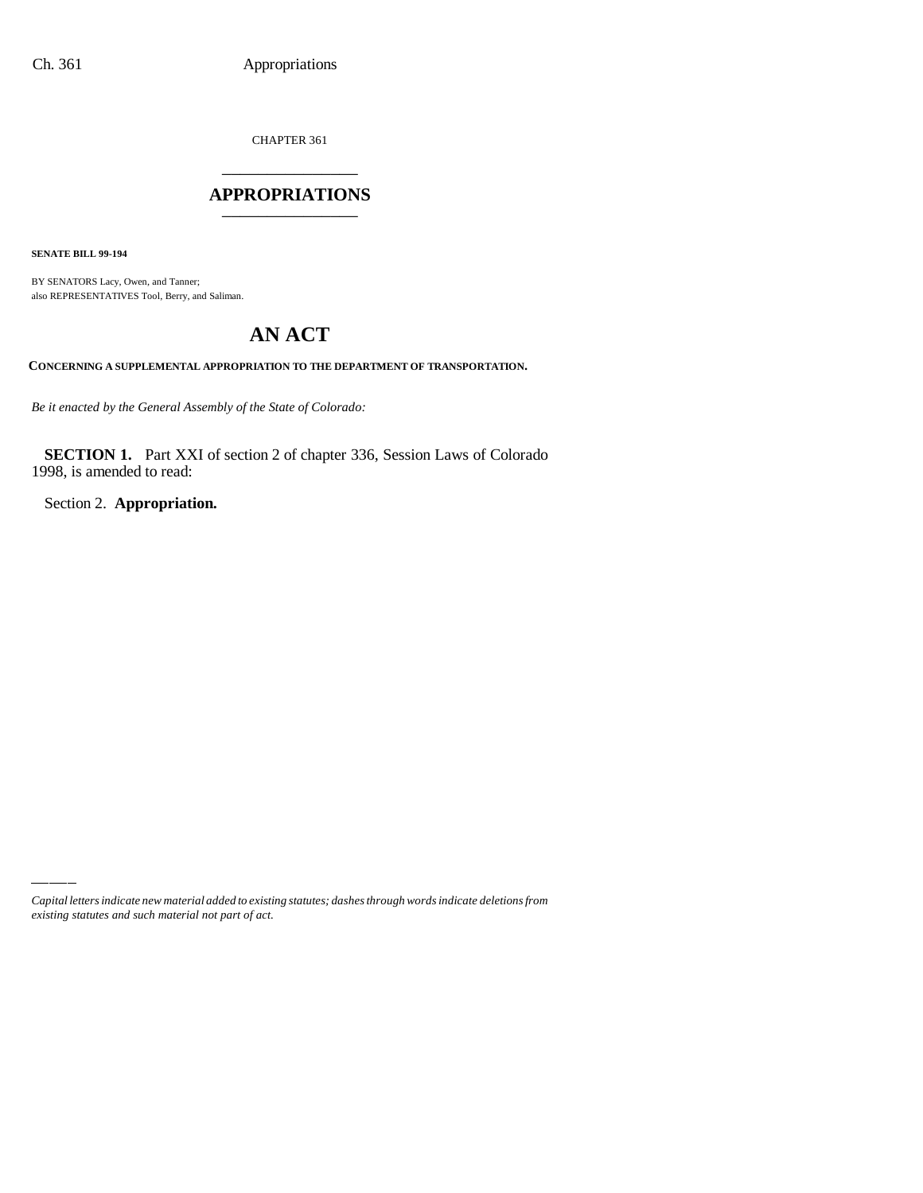CHAPTER 361 \_\_\_\_\_\_\_\_\_\_\_\_\_\_\_

## **APPROPRIATIONS** \_\_\_\_\_\_\_\_\_\_\_\_\_\_\_

**SENATE BILL 99-194**

BY SENATORS Lacy, Owen, and Tanner; also REPRESENTATIVES Tool, Berry, and Saliman.

# **AN ACT**

**CONCERNING A SUPPLEMENTAL APPROPRIATION TO THE DEPARTMENT OF TRANSPORTATION.**

*Be it enacted by the General Assembly of the State of Colorado:*

**SECTION 1.** Part XXI of section 2 of chapter 336, Session Laws of Colorado 1998, is amended to read:

Section 2. **Appropriation.**

*Capital letters indicate new material added to existing statutes; dashes through words indicate deletions from existing statutes and such material not part of act.*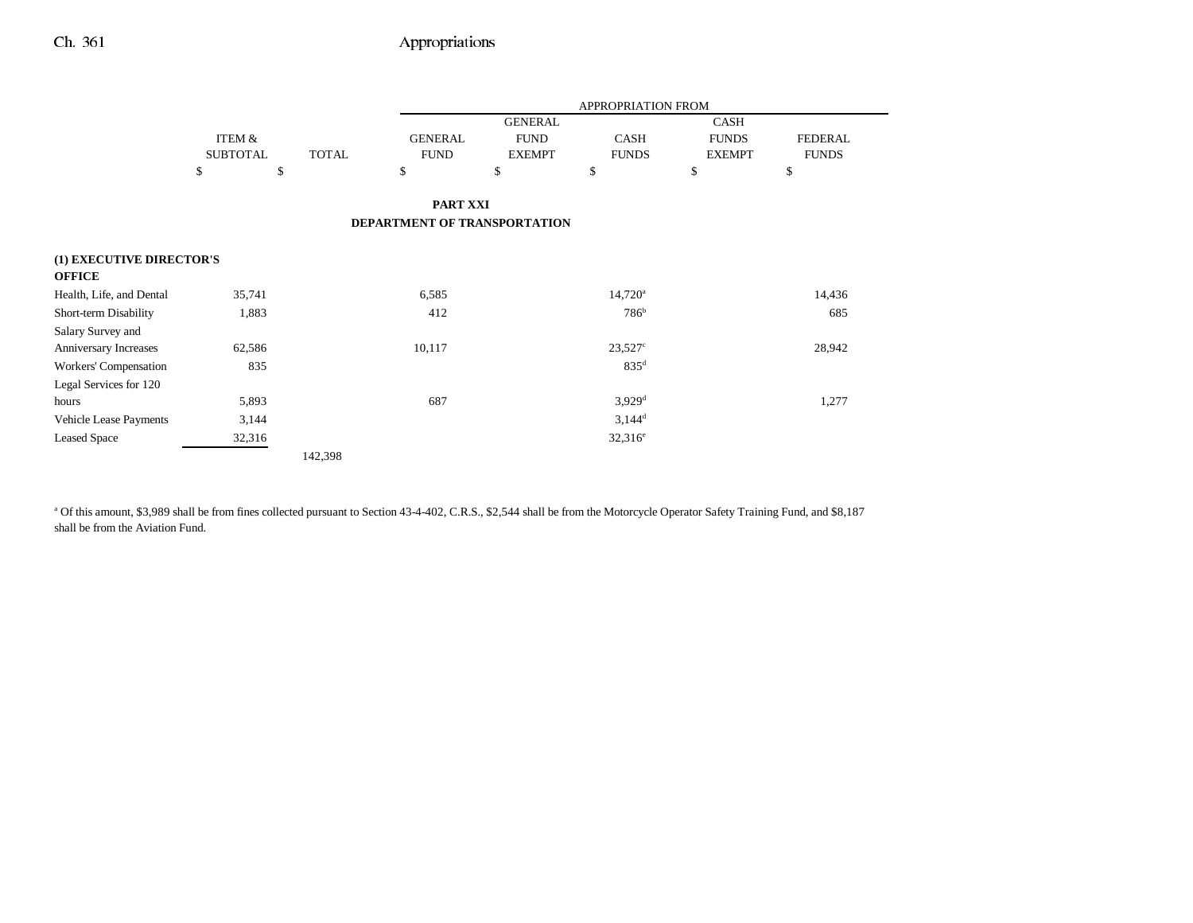|                                           |                   |              |                              | APPROPRIATION FROM |                      |               |                |  |
|-------------------------------------------|-------------------|--------------|------------------------------|--------------------|----------------------|---------------|----------------|--|
|                                           |                   |              |                              | <b>GENERAL</b>     |                      | <b>CASH</b>   |                |  |
|                                           | <b>ITEM &amp;</b> |              | <b>GENERAL</b>               | <b>FUND</b>        | <b>CASH</b>          | <b>FUNDS</b>  | <b>FEDERAL</b> |  |
|                                           | <b>SUBTOTAL</b>   | <b>TOTAL</b> | <b>FUND</b>                  | <b>EXEMPT</b>      | <b>FUNDS</b>         | <b>EXEMPT</b> | <b>FUNDS</b>   |  |
|                                           | \$                | \$           | \$                           | \$                 | \$                   | \$            | \$             |  |
|                                           |                   |              | PART XXI                     |                    |                      |               |                |  |
|                                           |                   |              | DEPARTMENT OF TRANSPORTATION |                    |                      |               |                |  |
| (1) EXECUTIVE DIRECTOR'S<br><b>OFFICE</b> |                   |              |                              |                    |                      |               |                |  |
| Health, Life, and Dental                  | 35,741            |              | 6,585                        |                    | $14,720^{\circ}$     |               | 14,436         |  |
| Short-term Disability                     | 1,883             |              | 412                          |                    | 786 <sup>b</sup>     |               | 685            |  |
| Salary Survey and                         |                   |              |                              |                    |                      |               |                |  |
| Anniversary Increases                     | 62,586            |              | 10,117                       |                    | $23,527$ °           |               | 28,942         |  |
| Workers' Compensation                     | 835               |              |                              |                    | 835 <sup>d</sup>     |               |                |  |
| Legal Services for 120                    |                   |              |                              |                    |                      |               |                |  |
| hours                                     | 5,893             |              | 687                          |                    | $3,929$ <sup>d</sup> |               | 1,277          |  |
| Vehicle Lease Payments                    | 3,144             |              |                              |                    | $3,144^d$            |               |                |  |
| <b>Leased Space</b>                       | 32,316            |              |                              |                    | $32,316^e$           |               |                |  |
|                                           |                   | 142,398      |                              |                    |                      |               |                |  |

<sup>a</sup> Of this amount, \$3,989 shall be from fines collected pursuant to Section 43-4-402, C.R.S., \$2,544 shall be from the Motorcycle Operator Safety Training Fund, and \$8,187 shall be from the Aviation Fund.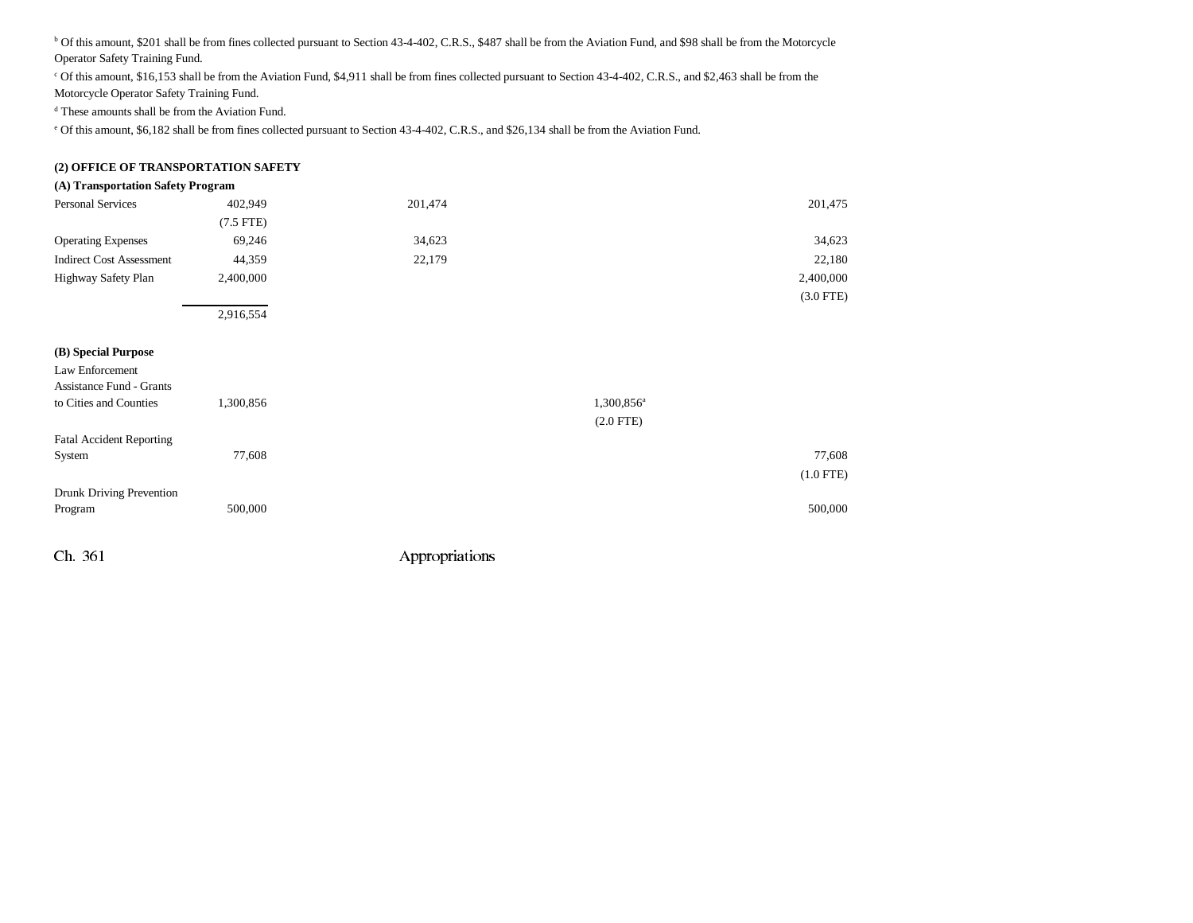<sup>b</sup> Of this amount, \$201 shall be from fines collected pursuant to Section 43-4-402, C.R.S., \$487 shall be from the Aviation Fund, and \$98 shall be from the Motorcycle Operator Safety Training Fund.

c Of this amount, \$16,153 shall be from the Aviation Fund, \$4,911 shall be from fines collected pursuant to Section 43-4-402, C.R.S., and \$2,463 shall be from the Motorcycle Operator Safety Training Fund.

d These amounts shall be from the Aviation Fund.

e Of this amount, \$6,182 shall be from fines collected pursuant to Section 43-4-402, C.R.S., and \$26,134 shall be from the Aviation Fund.

### **(2) OFFICE OF TRANSPORTATION SAFETY**

#### **(A) Transportation Safety Program**

| Personal Services               | 402,949        | 201,474 |                        | 201,475     |
|---------------------------------|----------------|---------|------------------------|-------------|
|                                 | $(7.5$ FTE $)$ |         |                        |             |
| <b>Operating Expenses</b>       | 69,246         | 34,623  |                        | 34,623      |
| <b>Indirect Cost Assessment</b> | 44,359         | 22,179  |                        | 22,180      |
| Highway Safety Plan             | 2,400,000      |         |                        | 2,400,000   |
|                                 |                |         |                        | $(3.0$ FTE) |
|                                 | 2,916,554      |         |                        |             |
|                                 |                |         |                        |             |
| (B) Special Purpose             |                |         |                        |             |
| Law Enforcement                 |                |         |                        |             |
| <b>Assistance Fund - Grants</b> |                |         |                        |             |
| to Cities and Counties          | 1,300,856      |         | 1,300,856 <sup>a</sup> |             |
|                                 |                |         | $(2.0$ FTE)            |             |
| <b>Fatal Accident Reporting</b> |                |         |                        |             |
| System                          | 77,608         |         |                        | 77,608      |
|                                 |                |         |                        | $(1.0$ FTE) |
| Drunk Driving Prevention        |                |         |                        |             |
| Program                         | 500,000        |         |                        | 500,000     |
|                                 |                |         |                        |             |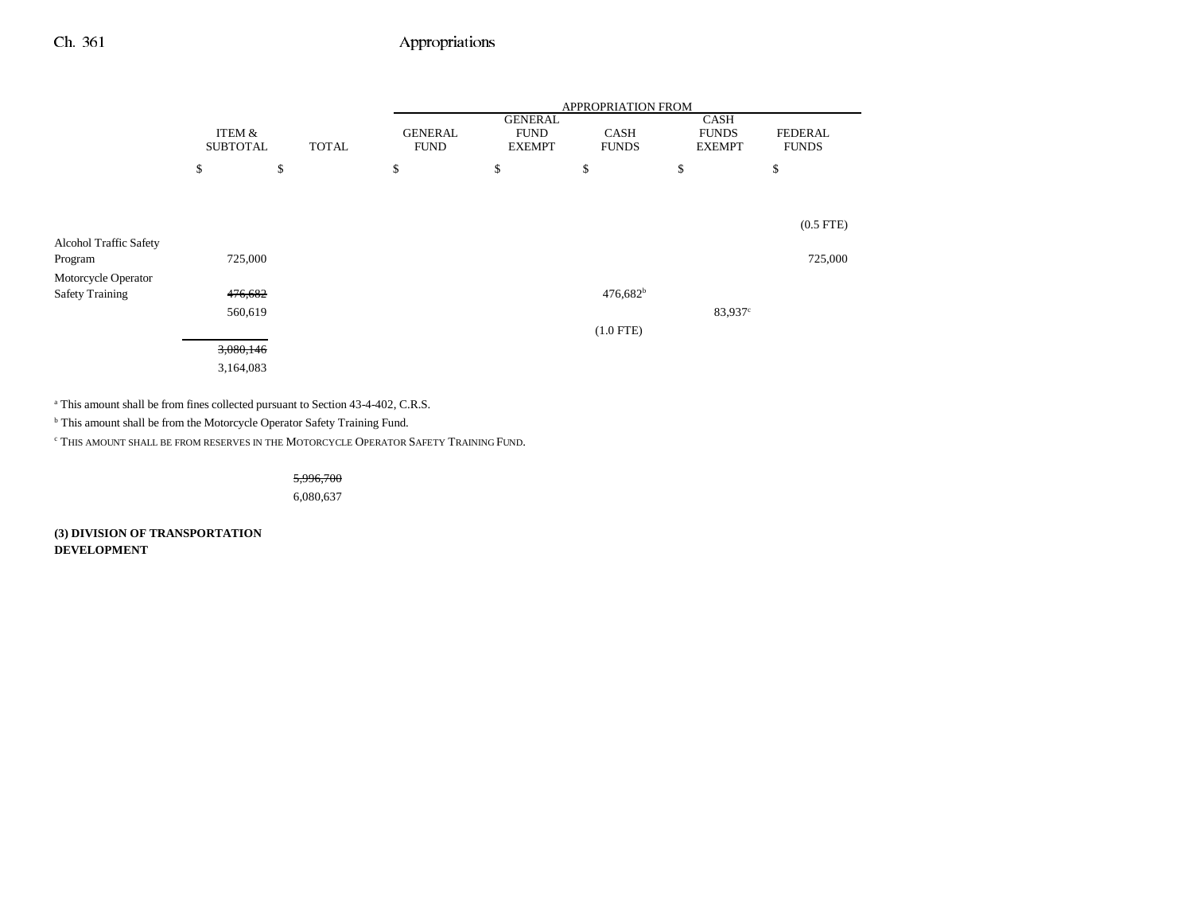|                               |                           |              | APPROPRIATION FROM            |                                                |                             |                                              |                                |  |
|-------------------------------|---------------------------|--------------|-------------------------------|------------------------------------------------|-----------------------------|----------------------------------------------|--------------------------------|--|
|                               | ITEM &<br><b>SUBTOTAL</b> | <b>TOTAL</b> | <b>GENERAL</b><br><b>FUND</b> | <b>GENERAL</b><br><b>FUND</b><br><b>EXEMPT</b> | <b>CASH</b><br><b>FUNDS</b> | <b>CASH</b><br><b>FUNDS</b><br><b>EXEMPT</b> | <b>FEDERAL</b><br><b>FUNDS</b> |  |
|                               | \$                        | \$           | \$                            | \$                                             | \$                          | \$                                           | \$                             |  |
|                               |                           |              |                               |                                                |                             |                                              |                                |  |
|                               |                           |              |                               |                                                |                             |                                              | $(0.5$ FTE $)$                 |  |
| <b>Alcohol Traffic Safety</b> |                           |              |                               |                                                |                             |                                              |                                |  |
| Program                       | 725,000                   |              |                               |                                                |                             |                                              | 725,000                        |  |
| Motorcycle Operator           |                           |              |                               |                                                |                             |                                              |                                |  |
| <b>Safety Training</b>        | 476,682                   |              |                               |                                                | $476,682^b$                 |                                              |                                |  |
|                               | 560,619                   |              |                               |                                                |                             | 83,937°                                      |                                |  |
|                               |                           |              |                               |                                                | $(1.0$ FTE)                 |                                              |                                |  |
|                               | 3,080,146                 |              |                               |                                                |                             |                                              |                                |  |
|                               | 3,164,083                 |              |                               |                                                |                             |                                              |                                |  |

a This amount shall be from fines collected pursuant to Section 43-4-402, C.R.S.

 $^{\rm b}$  This amount shall be from the Motorcycle Operator Safety Training Fund.

c THIS AMOUNT SHALL BE FROM RESERVES IN THE MOTORCYCLE OPERATOR SAFETY TRAINING FUND.

5,996,700

6,080,637

**(3) DIVISION OF TRANSPORTATION DEVELOPMENT**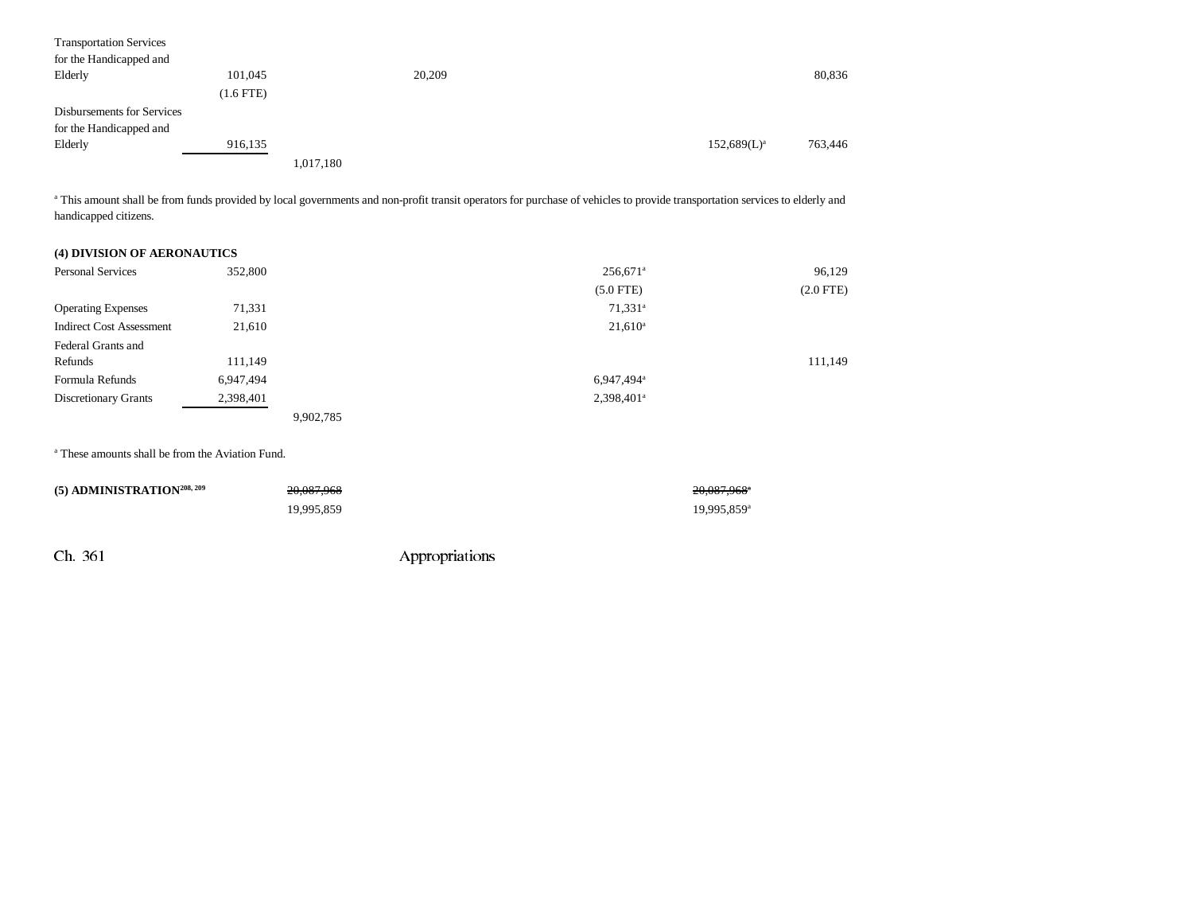| <b>Transportation Services</b> |             |           |        |                |         |
|--------------------------------|-------------|-----------|--------|----------------|---------|
| for the Handicapped and        |             |           |        |                |         |
| Elderly                        | 101,045     |           | 20,209 |                | 80,836  |
|                                | $(1.6$ FTE) |           |        |                |         |
| Disbursements for Services     |             |           |        |                |         |
| for the Handicapped and        |             |           |        |                |         |
| Elderly                        | 916,135     |           |        | $152,689(L)^a$ | 763,446 |
|                                |             | 1,017,180 |        |                |         |

<sup>a</sup> This amount shall be from funds provided by local governments and non-profit transit operators for purchase of vehicles to provide transportation services to elderly and handicapped citizens.

| (4) DIVISION OF AERONAUTICS     |           |           |                        |                |
|---------------------------------|-----------|-----------|------------------------|----------------|
| <b>Personal Services</b>        | 352,800   |           | $256,671$ <sup>a</sup> | 96,129         |
|                                 |           |           | $(5.0$ FTE)            | $(2.0$ FTE $)$ |
| <b>Operating Expenses</b>       | 71,331    |           | 71,331 <sup>a</sup>    |                |
| <b>Indirect Cost Assessment</b> | 21,610    |           | $21,610^a$             |                |
| Federal Grants and              |           |           |                        |                |
| Refunds                         | 111,149   |           |                        | 111,149        |
| Formula Refunds                 | 6,947,494 |           | 6,947,494 <sup>a</sup> |                |
| <b>Discretionary Grants</b>     | 2,398,401 |           | 2,398,401 <sup>a</sup> |                |
|                                 |           | 9,902,785 |                        |                |

a These amounts shall be from the Aviation Fund.

| $(5)$ ADMINISTRATION <sup>208, 209</sup> | 20.087.968 | 20.087.968*             |
|------------------------------------------|------------|-------------------------|
|                                          | 19.995.859 | 19,995,859 <sup>a</sup> |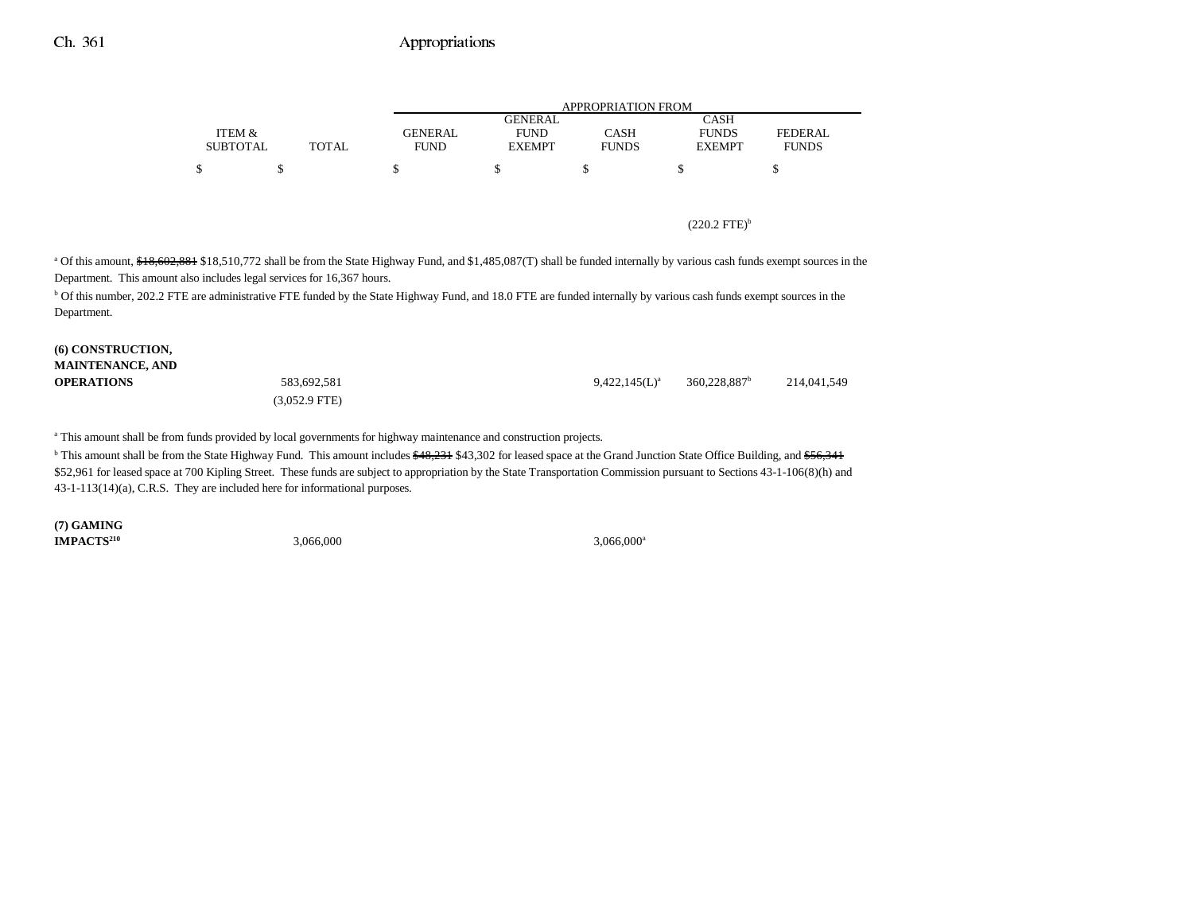|                 |              |             | APPROPRIATION FROM |              |               |              |  |  |  |
|-----------------|--------------|-------------|--------------------|--------------|---------------|--------------|--|--|--|
|                 |              |             | GENERAL.           |              | CASH          |              |  |  |  |
| ITEM &          |              | GENERAL     | <b>FUND</b>        | CASH         | <b>FUNDS</b>  | FEDERAL      |  |  |  |
| <b>SUBTOTAL</b> | <b>TOTAL</b> | <b>FUND</b> | <b>EXEMPT</b>      | <b>FUNDS</b> | <b>EXEMPT</b> | <b>FUNDS</b> |  |  |  |
| ¢               |              |             |                    |              |               |              |  |  |  |

#### $(220.2 \text{ FTE})^b$

<sup>a</sup> Of this amount, \$18,602,881 \$18,510,772 shall be from the State Highway Fund, and \$1,485,087(T) shall be funded internally by various cash funds exempt sources in the Department. This amount also includes legal services for 16,367 hours.

b Of this number, 202.2 FTE are administrative FTE funded by the State Highway Fund, and 18.0 FTE are funded internally by various cash funds exempt sources in the Department.

| (6) CONSTRUCTION,       |                         |                  |                          |             |
|-------------------------|-------------------------|------------------|--------------------------|-------------|
| <b>MAINTENANCE, AND</b> |                         |                  |                          |             |
| <b>OPERATIONS</b>       | 583,692,581             | $9.422.145(L)^a$ | 360.228.887 <sup>b</sup> | 214,041,549 |
|                         | $(3.052.9 \text{ FTE})$ |                  |                          |             |

a This amount shall be from funds provided by local governments for highway maintenance and construction projects.

<sup>b</sup> This amount shall be from the State Highway Fund. This amount includes \$48,231 \$43,302 for leased space at the Grand Junction State Office Building, and \$56,341 \$52,961 for leased space at 700 Kipling Street. These funds are subject to appropriation by the State Transportation Commission pursuant to Sections 43-1-106(8)(h) and 43-1-113(14)(a), C.R.S. They are included here for informational purposes.

**(7) GAMING IMPACTS**<sup>210</sup> 3,066,000 3,066,000 3,066,000 3,066,000 3,066,000 3,066,000 3,066,000 3,066,000 3,066,000 3,066,000 3,066,000 3,066,000 3,066,000 3,066,000 3,066,000 3,066,000 3,066,000 3,066,000 3,066,000 3,066,000 3,066,0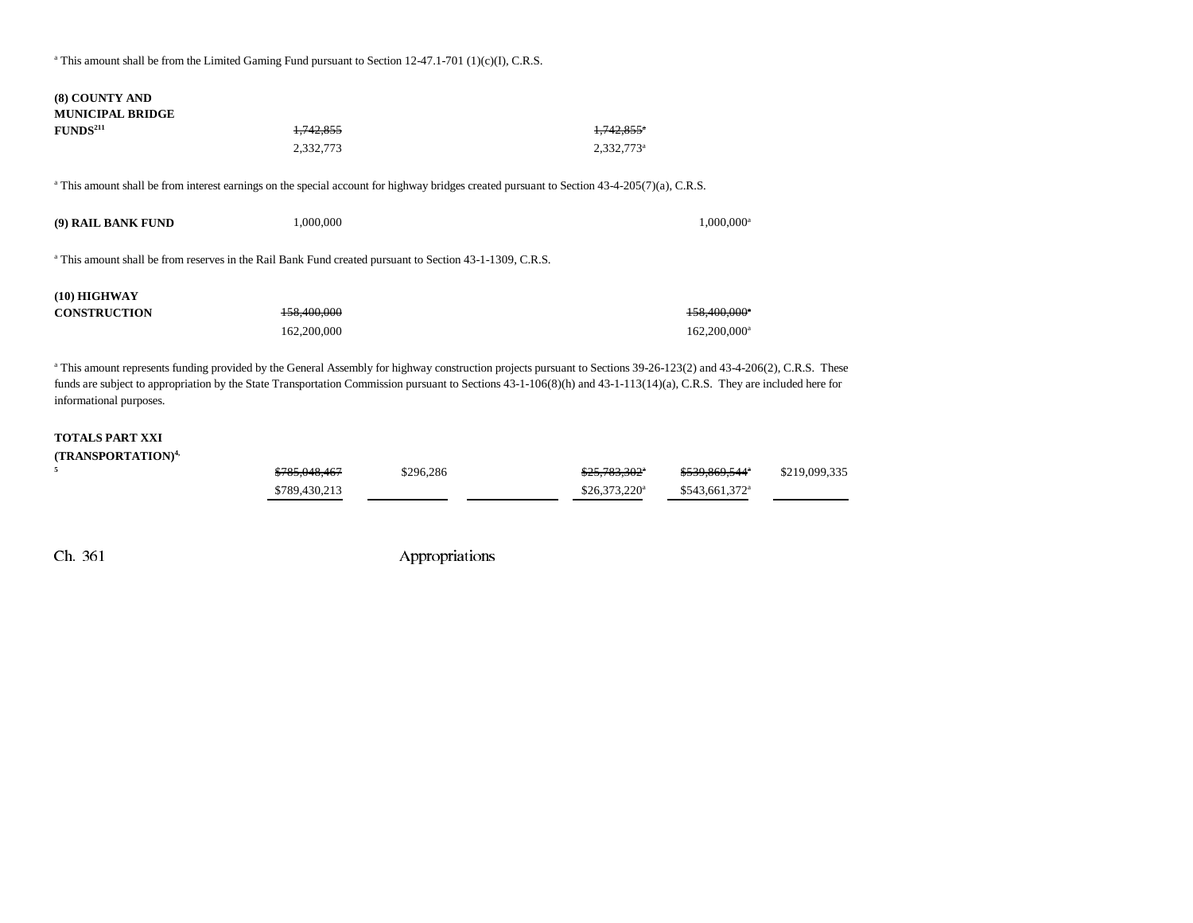<sup>a</sup> This amount shall be from the Limited Gaming Fund pursuant to Section 12-47.1-701 (1)(c)(I), C.R.S.

| (8) COUNTY AND<br><b>MUNICIPAL BRIDGE</b> |                                                                                                                                                                                                                                                                                                                                                        |                          |
|-------------------------------------------|--------------------------------------------------------------------------------------------------------------------------------------------------------------------------------------------------------------------------------------------------------------------------------------------------------------------------------------------------------|--------------------------|
| FUNDS <sup>211</sup>                      | 1,742,855                                                                                                                                                                                                                                                                                                                                              | $1,742.855$ <sup>*</sup> |
|                                           | 2,332,773                                                                                                                                                                                                                                                                                                                                              | 2,332,773 <sup>a</sup>   |
|                                           | <sup>a</sup> This amount shall be from interest earnings on the special account for highway bridges created pursuant to Section 43-4-205(7)(a), C.R.S.                                                                                                                                                                                                 |                          |
| (9) RAIL BANK FUND                        | 1,000,000                                                                                                                                                                                                                                                                                                                                              | $1,000,000$ <sup>a</sup> |
|                                           | <sup>a</sup> This amount shall be from reserves in the Rail Bank Fund created pursuant to Section 43-1-1309, C.R.S.                                                                                                                                                                                                                                    |                          |
| $(10)$ HIGHWAY                            |                                                                                                                                                                                                                                                                                                                                                        |                          |
| <b>CONSTRUCTION</b>                       | 158,400,000                                                                                                                                                                                                                                                                                                                                            | 158,400,000 <sup>*</sup> |
|                                           | 162,200,000                                                                                                                                                                                                                                                                                                                                            | 162,200,000 <sup>a</sup> |
| informational purposes.                   | <sup>a</sup> This amount represents funding provided by the General Assembly for highway construction projects pursuant to Sections 39-26-123(2) and 43-4-206(2), C.R.S. These<br>funds are subject to appropriation by the State Transportation Commission pursuant to Sections 43-1-106(8)(h) and 43-1-113(14)(a), C.R.S. They are included here for |                          |

#### **TOTALS PART XXI (TRANSPORTATION)4,**

| \$785,048,467 | \$296.286 | \$25,783,302"   | \$539,869,544*              | \$219,099,335 |
|---------------|-----------|-----------------|-----------------------------|---------------|
| \$789,430,213 |           | $$26.373.220^a$ | $$543.661.372$ <sup>a</sup> |               |

**5**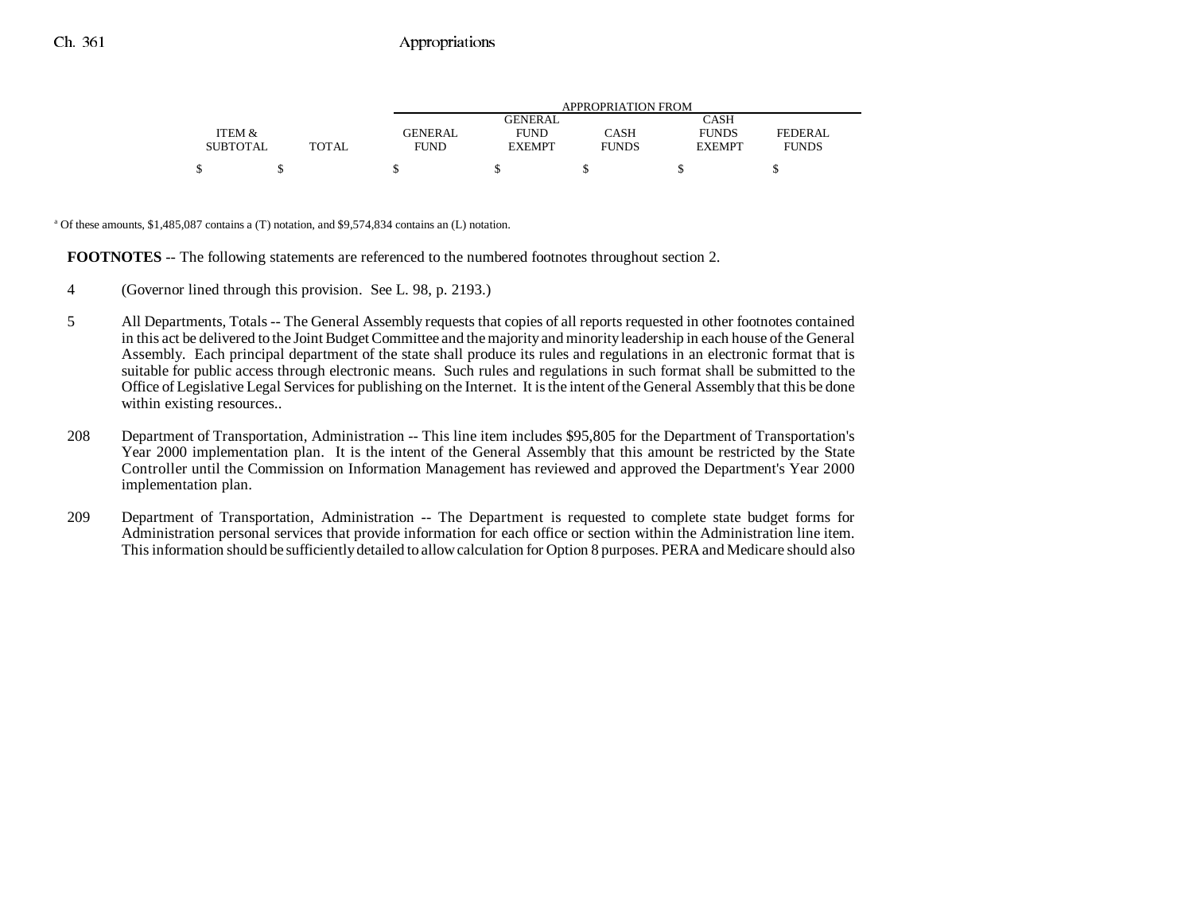|                 |              | APPROPRIATION FROM |                |              |               |                |  |  |
|-----------------|--------------|--------------------|----------------|--------------|---------------|----------------|--|--|
|                 |              |                    | <b>GENERAL</b> |              | <b>CASH</b>   |                |  |  |
| ITEM &          |              | GENERAL            | <b>FUND</b>    | CASH         | <b>FUNDS</b>  | <b>FEDERAL</b> |  |  |
| <b>SUBTOTAL</b> | <b>TOTAL</b> | <b>FUND</b>        | <b>EXEMPT</b>  | <b>FUNDS</b> | <b>EXEMPT</b> | <b>FUNDS</b>   |  |  |
| ¢               |              |                    |                |              |               |                |  |  |

a Of these amounts, \$1,485,087 contains a (T) notation, and \$9,574,834 contains an (L) notation.

**FOOTNOTES** -- The following statements are referenced to the numbered footnotes throughout section 2.

- 4 (Governor lined through this provision. See L. 98, p. 2193.)
- 5 All Departments, Totals -- The General Assembly requests that copies of all reports requested in other footnotes contained in this act be delivered to the Joint Budget Committee and the majority and minority leadership in each house of the General Assembly. Each principal department of the state shall produce its rules and regulations in an electronic format that is suitable for public access through electronic means. Such rules and regulations in such format shall be submitted to the Office of Legislative Legal Services for publishing on the Internet. It is the intent of the General Assembly that this be done within existing resources..
- 208 Department of Transportation, Administration -- This line item includes \$95,805 for the Department of Transportation's Year 2000 implementation plan. It is the intent of the General Assembly that this amount be restricted by the State Controller until the Commission on Information Management has reviewed and approved the Department's Year 2000 implementation plan.
- 209 Department of Transportation, Administration -- The Department is requested to complete state budget forms for Administration personal services that provide information for each office or section within the Administration line item. This information should be sufficiently detailed to allow calculation for Option 8 purposes. PERA and Medicare should also